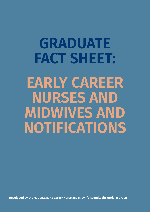# **GRADUATE FACT SHEET: EARLY CAREER NURSES AND MIDWIVES AND NOTIFICATIONS**

**Developed by the National Early Career Nurse and Midwife Roundtable Working Group**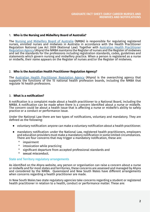#### 1. **Who is the Nursing and Midwifery Board of Australia?**

The [Nursing and Midwifery Board of Australia](https://www.nursingmidwiferyboard.gov.au/) (NMBA) is responsible for regulating registered nurses, enrolled nurses and midwives in Australia in accordance with the Health Practitioner Regulation National Law Act 2009 (National Law). Together with **[Australian Health Practitioner](https://www.ahpra.gov.au/)** [Regulation Agency](https://www.ahpra.gov.au/) (Ahpra) the NMBA maintains the Register of nurses and the Register of midwives and set the standards for the professions including registration standards, codes, guidelines and statements which govern nursing and midwifery practice. When a person is registered as a nurse or midwife, their name appears on the Register of nurses and/or the Register of midwives.

## 2. **Who is the Australian Health Practitioner Regulation Agency?**

The [Australian Health Practitioner Regulation Agency](https://www.ahpra.gov.au/) (Ahpra) is the overarching agency that supports the functions of the 15 national health profession boards, including the NMBA that regulate 16 health professions.

## 3. **What is a notification?**

A notification is a complaint made about a health practitioner to a National Board, including the NMBA. A notification can be made when there is a concern identified about a nurse or midwife. The concern could be about a health issue that is affecting a nurse or midwife's ability to safely practice or a conduct or performance issue.

Under the National Law there are two types of notifications, voluntary and mandatory. They are defined as the following:

- ⦁ voluntary notification: anyone can make a voluntary notification about a health practitioner.
- ⦁ mandatory notification: under the National Law, registered health practitioners, employers and education providers must make a mandatory notification in some limited circumstances. There are four concerns that may trigger a mandatory notification, these are:
	- ° impairment
	- ° intoxication while practicing
	- ° significant departure from accepted professional standards and
	- ° sexual misconduct.

#### State and Territory regulatory arrangements

As identified on the Ahpra website, any person or organisation can raise a concern about a nurse or midwife and for most states and territories, these concerns are assessed and managed by Ahpra and considered by the NMBA. Queensland and New South Wales have different arrangements when concerns regarding a health practitioner are made.

In New South Wales two state regulatory agencies take concerns regarding a student or registered health practitioner in relation to a health. conduct or performance matter. These are: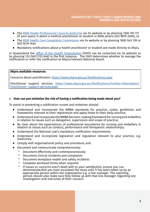- ⦁ The [NSW Health Professional Councils Authority](https://www.hpca.nsw.gov.au/) via its website or by phoning 1300 197 177 (if your query is about a medical practitioner or student in NSW, phone (02) 9879 2200), or
- <sup>⦁</sup> The [NSW Health Care Complaints Commission](https://www.hccc.nsw.gov.au/) via its website or by phoning 1800 043 159 or (02) [9219 7444.](https://www.hccc.nsw.gov.au/)
- ⦁ Mandatory notifications about a health practitioner or student are made directly to Ahpr**<sup>a</sup>**

In Queensland the [Office of the Health Ombudsman](https://www.oho.qld.gov.au/) (OHO) can be contacted via its website or by phoning 133 OHO (133 646) in the first instance. The OHO determines whether to manage the notification or refer the notification to Ahpra/relevant National board.

# **Ahpra available resources**

Concerns about practitioners:<https://www.ahpra.gov.au/Notifications.aspx>

Practitioner support services: [https://www.ahpra.gov.au/Notifications/Further-information/](https://www.ahpra.gov.au/Notifications/Further-information/Practitioner- support-services.aspx ) [Practitioner- support-services.aspx](https://www.ahpra.gov.au/Notifications/Further-information/Practitioner- support-services.aspx )

# 4. **How can you minimise the risk of having a notification being made about you?**

To assist in preventing a notification nurses and midwives should:

- ⦁ Understand and incorporate the NMBA standards for practice, codes, guidelines and frameworks relevant to their registration and apply these to their daily practice;
- ⦁ Understand and incorporate the NMBA Decision-making framework for nursing and midwifery in relation to issues such as delegation, supervision and scope of practice;
- ⦁ Be clear about the expectations of professional boundaries for nursing and midwifery in relation to issues such as conduct, performance and therapeutic relationships;
- ⦁ Understand the National Law's mandatory notification requirements;
- ⦁ Understand and incorporate legislation and regulation relevant to your practice, e.g. medicines;
- ⦁ Comply with organisational policy and procedure; and
- ⦁ Document and communicate comprehensively:
	- ° Document effectively and contemporaneously
	- ° Document clinical incidents and complaints
	- ° Document workplace health and safety incidents
	- ° Complete workload forms when required
	- ° If issues or concerns aren't dealt with to your satisfaction, ensure you can demonstrate,that you have escalated the issue until it has been taken up by an appropriate person within the organisation e.g. a line manager. The reporting person should also make sure they follow up with that line manager regarding any investigation and outcomes of their concern.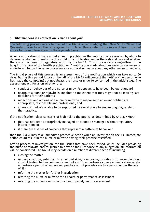## 5. **What happens if a notification is made about you?**

The following process refers to that of the NMBA acknowledging that New South Wales and Queensland also have other arrangements in place. Please refer to the relevant links provided above for more information on these jurisdictions.

When a notification is made about a health practitioner the notification is assessed by Ahpra to determine whether it meets the threshold for a notification under the National Law and whether there is a risk basis for regulatory action by the NMBA. This process occurs regardless of the length of service of the health practitioner. A notification made about an early career nurse or midwife will follow the same processes as a notification made about any other nurse or midwife.

The initial phase of this process is an assessment of the notification which can take up to 60 days. During this period Ahpra on behalf of the NMBA will contact the notifier (the person who has made the complaint) but not always the nurse or midwife concerned in the initial stage. The assessment will focus on whether the:

- ⦁ conduct or behaviour of the nurse or midwife appears to have been below standard
- health of a nurse or midwife is impaired to the extent that they might not be making safe decisions for their patients
- ⦁ reflections and actions of a nurse or midwife in response to an event notified are appropriate, responsible and professional, and
- ⦁ a nurse or midwife is able to be supported by a workplace to ensure ongoing safety of their practice.

If the notification raises concerns of high risk to the public (as determined by Ahpra/NMBA):

- ⦁ that has not been appropriately managed or cannot be managed without regulatory intervention, or
- ⦁ if there are a series of concerns that represent a pattern of behaviour

then the NMBA may take immediate protective action while an investigation occurs. Immediate action could result in the nurse or midwife having their practice restricted.

After a process of investigation into the issues that have been raised, which includes providing the nurse or midwife natural justice to provide their response to any allegation, all information will be considered. The NMBA may decide on a number of different actions including:

- ⦁ closing the matter
- ⦁ issuing a caution, entering into an undertaking or imposing conditions (for example blood alcohol testing before commencement of a shift, undertake a course in medication safety, undertake a period of supervised practice or not provide care to a person under the age of 18)
- ⦁ referring the matter for further investigation
- ⦁ referring the nurse or midwife for a health or performance assessment
- ⦁ referring the nurse or midwife to a health panel/health assessment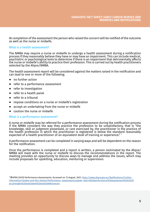At completion of the assessment the person who raised the concern will be notified of the outcome as well as the nurse or midwife.

## What is a health assessment?

The NMBA may require a nurse or midwife to undergo a health assessment during a notification process if they reasonably believe they have or may have an impairment. This can include medical, psychiatric or psychological tests to determine if there is an impairment that detrimentally affects the nurse or midwife's ability to practice their profession. This is carried out by health practitioners selected by the Ahpra/NMBA.

The health assessment report will be considered against the matters raised in the notification and can lead to one or more of the following;

- ⦁ no further action
- ⦁ refer to a performance assessment
- ⦁ refer to investigation
- ⦁ refer to a health panel
- ⦁ refer to a tribunal
- ⦁ impose conditions on a nurse or midwife's registration
- ⦁ accept an undertaking from the nurse or midwife
- ⦁ caution the nurse or midwife

#### What is a performance assessment?

A nurse or midwife may be referred for a performance assessment during the notification process if the NMBA considers the way they practice the profession to be unsatisfactory, that is "the knowledge, skill or judgment possessed, or care exercised by, the practitioner in the practice of the health profession in which the practitioner is registered is below the standard reasonably expected of a health practitioner of an equivalent level of training or experience." 1

A performance assessment can be completed in varying ways and will be dependent on the reason for the notification.

Once the performance is completed and a report is written, a person nominated by the Ahpra/ NMBA will meet with the nurse or midwife to discuss the recommendations in the report. The meeting provides an opportunity to discuss ways to manage and address the issues, which may include proposals for upskilling, education, mentoring or supervision.

1 AHPRA (2019) Performance Assessments. Accessed on 13 August, 2021: [https://www.ahpra.gov.au/Notifications/Further](https://www.ahpra.gov.au/Notifications/Further- information/Guides-and-fact-sheets/Performance- assessments.aspx#:~:text=A%20performance%20assessment%20is%20an,strengths%20as%20well%20as%20deficiencies)[information/Guides-and-fact-sheets/Performance- assessments.aspx#:~:text=A%20performance%20assessment%20is%20](https://www.ahpra.gov.au/Notifications/Further- information/Guides-and-fact-sheets/Performance- assessments.aspx#:~:text=A%20performance%20assessment%20is%20an,strengths%20as%20well%20as%20deficiencies) [an,strengths%20as%20well%20as%20deficiencies](https://www.ahpra.gov.au/Notifications/Further- information/Guides-and-fact-sheets/Performance- assessments.aspx#:~:text=A%20performance%20assessment%20is%20an,strengths%20as%20well%20as%20deficiencies)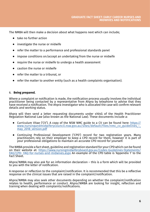The NMBA will then make a decision about what happens next which can include;

- ⦁ take no further action
- ⦁ investigate the nurse or midwife
- ⦁ refer the matter to a performance and professional standards panel
- impose conditions on/accept an undertaking from the nurse or midwife
- ⦁ require the nurse or midwife to undergo a health assessment
- ⦁ caution the nurse or midwife
- ⦁ refer the matter to a tribunal, or
- ⦁ refer the matter to another entity (such as a health complaints organisation).

# 6. **Being prepared.**

Where a complaint or notification is made, the notification process usually involves the individual practitioner being contacted by a representative from Ahpra by telephone to advise that they have received a notification. The Ahpra investigator who is allocated the case will confirm relevant details and working status.

Ahpra will then send a letter requesting documents under s164G of the Health Practitioner Regulation National Law (also known as the National Law). These documents include a:

- Curriculum Vitae ('CV'). A copy of the NSW NMC guide to a CV can be found here: <u>[https://](https://www.nursingandmidwiferycouncil.nsw.gov.au/sites/default/files/nmc_cv_guidelines_-_may_2018_version.pdf)</u><br>www.nursingandmidwiferycouncil.nsw.gov.au/sites/default/files/nmc\_cv\_guidelines\_may 2018 version.pdf
- ⦁ Continuing Professional Development ('CPD') record for two registration years. Many practitioners rely on their employer to keep a CPD record for them, however it is part of your professional obligations to maintain an accurate CPD record for yourself.

The NMBA provide a fact sheet, guideline and registration standard for your CPD which can be found [FAQ/CPD- FAQ-for-nurses-and-midwives.aspx](https://www.nursingmidwiferyboard.gov.au/Codes-Guidelines-Statements/FAQ/CPD- FAQ-for-nurses-and-midwives.aspx) An example of the CPD table is 'Appendix 1' to the Fact Sheet.

Ahpra/NMBA may also ask for an information declaration – this is a form which will be provided to you with the letter of notification.

A response or reflection to the complaint/notification. It is recommended that this be a reflective response on the clinical issues that are raised in the complaint/notification.

Ahpra/NMBA may also seek other documents depending on whether the complaint/notification relates to health, performance or conduct. Ahpra/NMBA are looking for insight, reflection and training when dealing with complaints/notifications.